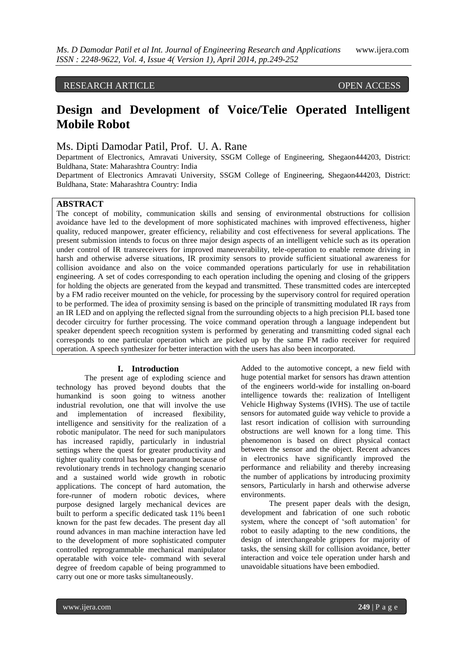# RESEARCH ARTICLE OPEN ACCESS

# **Design and Development of Voice/Telie Operated Intelligent Mobile Robot**

# Ms. Dipti Damodar Patil, Prof. U. A. Rane

Department of Electronics, Amravati University, SSGM College of Engineering, Shegaon444203, District: Buldhana, State: Maharashtra Country: India

Department of Electronics Amravati University, SSGM College of Engineering, Shegaon444203, District: Buldhana, State: Maharashtra Country: India

## **ABSTRACT**

The concept of mobility, communication skills and sensing of environmental obstructions for collision avoidance have led to the development of more sophisticated machines with improved effectiveness, higher quality, reduced manpower, greater efficiency, reliability and cost effectiveness for several applications. The present submission intends to focus on three major design aspects of an intelligent vehicle such as its operation under control of IR transreceivers for improved maneuverability, tele-operation to enable remote driving in harsh and otherwise adverse situations, IR proximity sensors to provide sufficient situational awareness for collision avoidance and also on the voice commanded operations particularly for use in rehabilitation engineering. A set of codes corresponding to each operation including the opening and closing of the grippers for holding the objects are generated from the keypad and transmitted. These transmitted codes are intercepted by a FM radio receiver mounted on the vehicle, for processing by the supervisory control for required operation to be performed. The idea of proximity sensing is based on the principle of transmitting modulated IR rays from an IR LED and on applying the reflected signal from the surrounding objects to a high precision PLL based tone decoder circuitry for further processing. The voice command operation through a language independent but speaker dependent speech recognition system is performed by generating and transmitting coded signal each corresponds to one particular operation which are picked up by the same FM radio receiver for required operation. A speech synthesizer for better interaction with the users has also been incorporated.

## **I. Introduction**

The present age of exploding science and technology has proved beyond doubts that the humankind is soon going to witness another industrial revolution, one that will involve the use and implementation of increased flexibility, intelligence and sensitivity for the realization of a robotic manipulator. The need for such manipulators has increased rapidly, particularly in industrial settings where the quest for greater productivity and tighter quality control has been paramount because of revolutionary trends in technology changing scenario and a sustained world wide growth in robotic applications. The concept of hard automation, the fore-runner of modern robotic devices, where purpose designed largely mechanical devices are built to perform a specific dedicated task 11% been1 known for the past few decades. The present day all round advances in man machine interaction have led to the development of more sophisticated computer controlled reprogrammable mechanical manipulator operatable with voice tele- command with several degree of freedom capable of being programmed to carry out one or more tasks simultaneously.

Added to the automotive concept, a new field with huge potential market for sensors has drawn attention of the engineers world-wide for installing on-board intelligence towards the: realization of Intelligent Vehicle Highway Systems (IVHS). The use of tactile sensors for automated guide way vehicle to provide a last resort indication of collision with surrounding obstructions are well known for a long time. This phenomenon is based on direct physical contact between the sensor and the object. Recent advances in electronics have significantly improved the performance and reliability and thereby increasing the number of applications by introducing proximity sensors, Particularly in harsh and otherwise adverse environments.

The present paper deals with the design, development and fabrication of one such robotic system, where the concept of 'soft automation' for robot to easily adapting to the new conditions, the design of interchangeable grippers for majority of tasks, the sensing skill for collision avoidance, better interaction and voice tele operation under harsh and unavoidable situations have been embodied.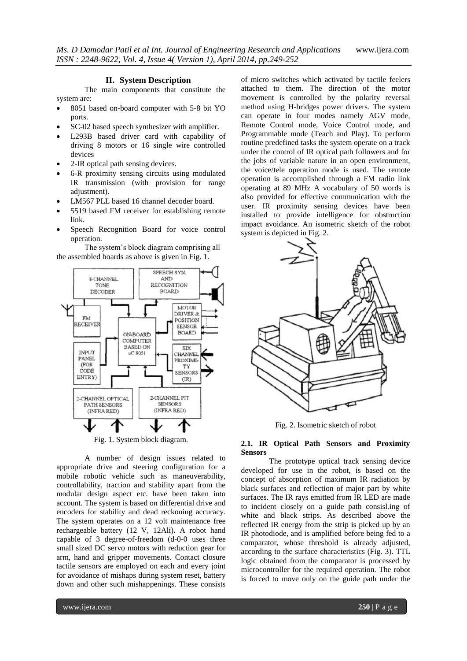### **II. System Description**

The main components that constitute the system are:

- 8051 based on-board computer with 5-8 bit YO ports.
- SC-02 based speech synthesizer with amplifier.
- L293B based driver card with capability of driving 8 motors or 16 single wire controlled devices
- 2-IR optical path sensing devices.
- 6-R proximity sensing circuits using modulated IR transmission (with provision for range adjustment).
- LM567 PLL based 16 channel decoder board.
- 5519 based FM receiver for establishing remote link.
- Speech Recognition Board for voice control operation.

The system"s block diagram comprising all the assembled boards as above is given in Fig. 1.



Fig. 1. System block diagram.

A number of design issues related to appropriate drive and steering configuration for a mobile robotic vehicle such as maneuverability, controllability, traction and stability apart from the modular design aspect etc. have been taken into account. The system is based on differential drive and encoders for stability and dead reckoning accuracy. The system operates on a 12 volt maintenance free rechargeable battery (12 V, 12Ali). A robot hand capable of 3 degree-of-freedom (d-0-0 uses three small sized DC servo motors with reduction gear for arm, hand and gripper movements. Contact closure tactile sensors are employed on each and every joint for avoidance of mishaps during system reset, battery down and other such mishappenings. These consists

of micro switches which activated by tactile feelers attached to them. The direction of the motor movement is controlled by the polarity reversal method using H-bridges power drivers. The system can operate in four modes namely AGV mode, Remote Control mode, Voice Control mode, and Programmable mode (Teach and Play). To perform routine predefined tasks the system operate on a track under the control of IR optical path followers and for the jobs of variable nature in an open environment, the voice/tele operation mode is used. The remote operation is accomplished through a FM radio link operating at 89 MHz A vocabulary of 50 words is also provided for effective communication with the user. IR proximity sensing devices have been installed to provide intelligence for obstruction impact avoidance. An isometric sketch of the robot system is depicted in Fig. 2.



Fig. 2. Isometric sketch of robot

#### **2.1. IR Optical Path Sensors and Proximity Sensors**

The prototype optical track sensing device developed for use in the robot, is based on the concept of absorption of maximum IR radiation by black surfaces and reflection of major part by white surfaces. The IR rays emitted from IR LED are made to incident closely on a guide path consisl.ing of white and black strips. As described above the reflected IR energy from the strip is picked up by an IR photodiode, and is amplified before being fed to a comparator, whose threshold is already adjusted, according to the surface characteristics (Fig. 3). TTL logic obtained from the comparator is processed by microcontroller for the required operation. The robot is forced to move only on the guide path under the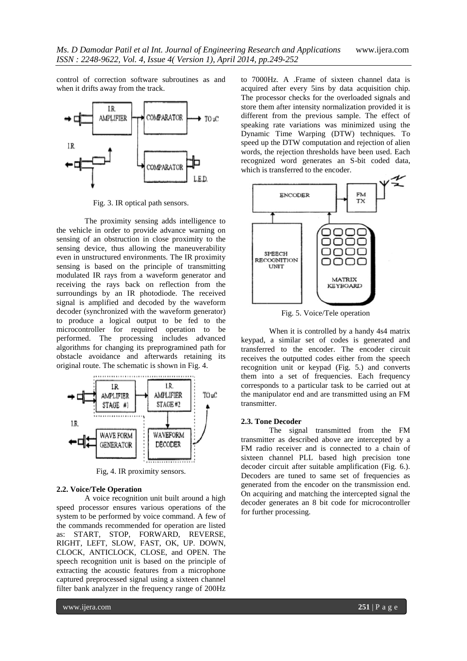control of correction software subroutines as and when it drifts away from the track.



Fig. 3. IR optical path sensors.

The proximity sensing adds intelligence to the vehicle in order to provide advance warning on sensing of an obstruction in close proximity to the sensing device, thus allowing the maneuverability even in unstructured environments. The IR proximity sensing is based on the principle of transmitting modulated IR rays from a waveform generator and receiving the rays back on reflection from the surroundings by an IR photodiode. The received signal is amplified and decoded by the waveform decoder (synchronized with the waveform generator) to produce a logical output to be fed to the microcontroller for required operation to be performed. The processing includes advanced algorithms for changing its preprogramined path for obstacle avoidance and afterwards retaining its original route. The schematic is shown in Fig. 4.



Fig, 4. IR proximity sensors.

### **2.2. Voice/Tele Operation**

A voice recognition unit built around a high speed processor ensures various operations of the system to be performed by voice command. A few of the commands recommended for operation are listed as: START, STOP, FORWARD, REVERSE, RIGHT, LEFT, SLOW, FAST, OK, UP. DOWN, CLOCK, ANTICLOCK, CLOSE, and OPEN. The speech recognition unit is based on the principle of extracting the acoustic features from a microphone captured preprocessed signal using a sixteen channel filter bank analyzer in the frequency range of 200Hz

to 7000Hz. A .Frame of sixteen channel data is acquired after every 5ins by data acquisition chip. The processor checks for the overloaded signals and store them after intensity normalization provided it is different from the previous sample. The effect of speaking rate variations was minimized using the Dynamic Time Warping (DTW) techniques. To speed up the DTW computation and rejection of alien words, the rejection thresholds have been used. Each recognized word generates an S-bit coded data, which is transferred to the encoder.



Fig. 5. Voice/Tele operation

When it is controlled by a handy 4s4 matrix keypad, a similar set of codes is generated and transferred to the encoder. The encoder circuit receives the outputted codes either from the speech recognition unit or keypad (Fig. 5.) and converts them into a set of frequencies. Each frequency corresponds to a particular task to be carried out at the manipulator end and are transmitted using an FM transmitter.

### **2.3. Tone Decoder**

The signal transmitted from the FM transmitter as described above are intercepted by a FM radio receiver and is connected to a chain of sixteen channel PLL based high precision tone decoder circuit after suitable amplification (Fig. 6.). Decoders are tuned to same set of frequencies as generated from the encoder on the transmission end. On acquiring and matching the intercepted signal the decoder generates an 8 bit code for microcontroller for further processing.